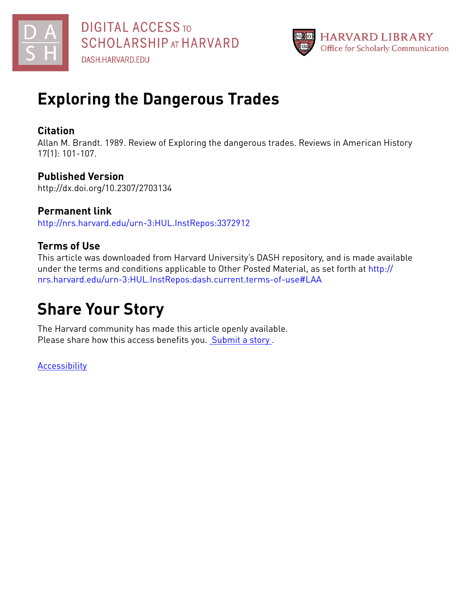



# **Exploring the Dangerous Trades**

## **Citation**

Allan M. Brandt. 1989. Review of Exploring the dangerous trades. Reviews in American History 17(1): 101-107.

## **Published Version**

http://dx.doi.org/10.2307/2703134

**Permanent link** <http://nrs.harvard.edu/urn-3:HUL.InstRepos:3372912>

# **Terms of Use**

This article was downloaded from Harvard University's DASH repository, and is made available under the terms and conditions applicable to Other Posted Material, as set forth at [http://](http://nrs.harvard.edu/urn-3:HUL.InstRepos:dash.current.terms-of-use#LAA) [nrs.harvard.edu/urn-3:HUL.InstRepos:dash.current.terms-of-use#LAA](http://nrs.harvard.edu/urn-3:HUL.InstRepos:dash.current.terms-of-use#LAA)

# **Share Your Story**

The Harvard community has made this article openly available. Please share how this access benefits you. [Submit](http://osc.hul.harvard.edu/dash/open-access-feedback?handle=&title=Exploring%20the%20Dangerous%20Trades&community=1/1&collection=1/2&owningCollection1/2&harvardAuthors=f74fa889f5372dcb900f83fad9440322&departmentHistory%20of%20Science) a story.

**[Accessibility](https://dash.harvard.edu/pages/accessibility)**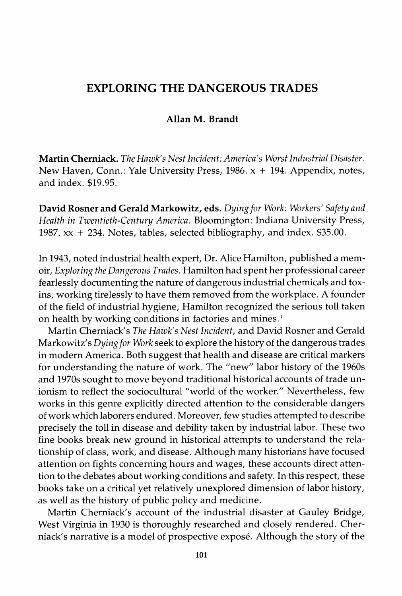## **EXPLORING THE DANGEROUS TRADES**

### **Allan M. Brandt**

**Martin Cherniack. The Hawk's Nest Incident: America's Worst Industrial Disaster. New Haven, Conn.: Yale University Press, 1986. x + 194. Appendix, notes, and index. \$19.95.** 

David Rosner and Gerald Markowitz, eds. Dying for Work: Workers' Safety and **Health in Twentieth-Century America. Bloomington: Indiana University Press, 1987. xx + 234. Notes, tables, selected bibliography, and index. \$35.00.** 

**In 1943, noted industrial health expert, Dr. Alice Hamilton, published a memoir, Exploring the Dangerous Trades. Hamilton had spent her professional career fearlessly documenting the nature of dangerous industrial chemicals and toxins, working tirelessly to have them removed from the workplace. A founder of the field of industrial hygiene, Hamilton recognized the serious toll taken on health by working conditions in factories and mines.1** 

**Martin Cherniack's The Hawk's Nest Incident, and David Rosner and Gerald**  Markowitz's Dying for Work seek to explore the history of the dangerous trades **in modern America. Both suggest that health and disease are critical markers for understanding the nature of work. The "new" labor history of the 1960s and 1970s sought to move beyond traditional historical accounts of trade unionism to reflect the sociocultural "world of the worker." Nevertheless, few works in this genre explicitly directed attention to the considerable dangers of work which laborers endured. Moreover, few studies attempted to describe precisely the toll in disease and debility taken by industrial labor. These two fine books break new ground in historical attempts to understand the relationship of class, work, and disease. Although many historians have focused attention on fights concerning hours and wages, these accounts direct attention to the debates about working conditions and safety. In this respect, these books take on a critical yet relatively unexplored dimension of labor history, as well as the history of public policy and medicine.** 

**Martin Cherniack's account of the industrial disaster at Gauley Bridge, West Virginia in 1930 is thoroughly researched and closely rendered. Cherniack's narrative is a model of prospective expose. Although the story of the**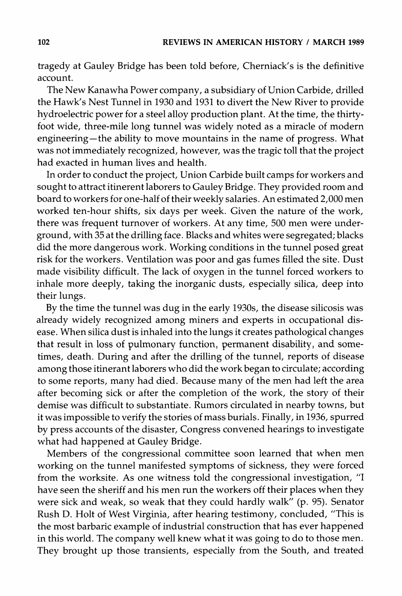**tragedy at Gauley Bridge has been told before, Cherniack's is the definitive account.** 

**The New Kanawha Power company, a subsidiary of Union Carbide, drilled the Hawk's Nest Tunnel in 1930 and 1931 to divert the New River to provide hydroelectric power for a steel alloy production plant. At the time, the thirtyfoot wide, three-mile long tunnel was widely noted as a miracle of modern engineering-the ability to move mountains in the name of progress. What was not immediately recognized, however, was the tragic toll that the project had exacted in human lives and health.** 

**In order to conduct the project, Union Carbide built camps for workers and sought to attract itinerent laborers to Gauley Bridge. They provided room and board to workers for one-half of their weekly salaries. An estimated 2,000 men worked ten-hour shifts, six days per week. Given the nature of the work, there was frequent turnover of workers. At any time, 500 men were underground, with 35 at the drilling face. Blacks and whites were segregated; blacks did the more dangerous work. Working conditions in the tunnel posed great risk for the workers. Ventilation was poor and gas fumes filled the site. Dust made visibility difficult. The lack of oxygen in the tunnel forced workers to inhale more deeply, taking the inorganic dusts, especially silica, deep into their lungs.** 

**By the time the tunnel was dug in the early 1930s, the disease silicosis was already widely recognized among miners and experts in occupational disease. When silica dust is inhaled into the lungs it creates pathological changes that result in loss of pulmonary function, permanent disability, and sometimes, death. During and after the drilling of the tunnel, reports of disease among those itinerant laborers who did the work began to circulate; according to some reports, many had died. Because many of the men had left the area after becoming sick or after the completion of the work, the story of their demise was difficult to substantiate. Rumors circulated in nearby towns, but it was impossible to verify the stories of mass burials. Finally, in 1936, spurred by press accounts of the disaster, Congress convened hearings to investigate what had happened at Gauley Bridge.** 

**Members of the congressional committee soon learned that when men working on the tunnel manifested symptoms of sickness, they were forced from the worksite. As one witness told the congressional investigation, "I have seen the sheriff and his men run the workers off their places when they were sick and weak, so weak that they could hardly walk" (p. 95). Senator Rush D. Holt of West Virginia, after hearing testimony, concluded, "This is the most barbaric example of industrial construction that has ever happened in this world. The company well knew what it was going to do to those men. They brought up those transients, especially from the South, and treated**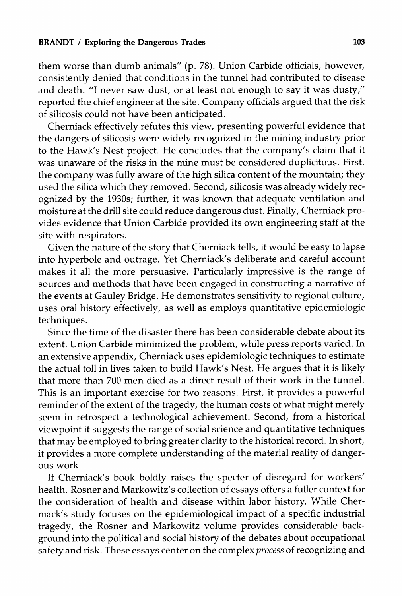### **BRANDT** / Exploring the Dangerous Trades 103

**them worse than dumb animals" (p. 78). Union Carbide officials, however, consistently denied that conditions in the tunnel had contributed to disease and death. "I never saw dust, or at least not enough to say it was dusty," reported the chief engineer at the site. Company officials argued that the risk of silicosis could not have been anticipated.** 

**Cherniack effectively refutes this view, presenting powerful evidence that the dangers of silicosis were widely recognized in the mining industry prior to the Hawk's Nest project. He concludes that the company's claim that it was unaware of the risks in the mine must be considered duplicitous. First, the company was fully aware of the high silica content of the mountain; they used the silica which they removed. Second, silicosis was already widely recognized by the 1930s; further, it was known that adequate ventilation and moisture at the drill site could reduce dangerous dust. Finally, Cherniack provides evidence that Union Carbide provided its own engineering staff at the site with respirators.** 

**Given the nature of the story that Cherniack tells, it would be easy to lapse into hyperbole and outrage. Yet Cherniack's deliberate and careful account makes it all the more persuasive. Particularly impressive is the range of sources and methods that have been engaged in constructing a narrative of the events at Gauley Bridge. He demonstrates sensitivity to regional culture, uses oral history effectively, as well as employs quantitative epidemiologic techniques.** 

**Since the time of the disaster there has been considerable debate about its extent. Union Carbide minimized the problem, while press reports varied. In an extensive appendix, Cherniack uses epidemiologic techniques to estimate the actual toll in lives taken to build Hawk's Nest. He argues that it is likely that more than 700 men died as a direct result of their work in the tunnel. This is an important exercise for two reasons. First, it provides a powerful reminder of the extent of the tragedy, the human costs of what might merely seem in retrospect a technological achievement. Second, from a historical viewpoint it suggests the range of social science and quantitative techniques that may be employed to bring greater clarity to the historical record. In short, it provides a more complete understanding of the material reality of dangerous work.** 

**If Cherniack's book boldly raises the specter of disregard for workers' health, Rosner and Markowitz's collection of essays offers a fuller context for the consideration of health and disease within labor history. While Cherniack's study focuses on the epidemiological impact of a specific industrial tragedy, the Rosner and Markowitz volume provides considerable background into the political and social history of the debates about occupational safety and risk. These essays center on the complex process of recognizing and**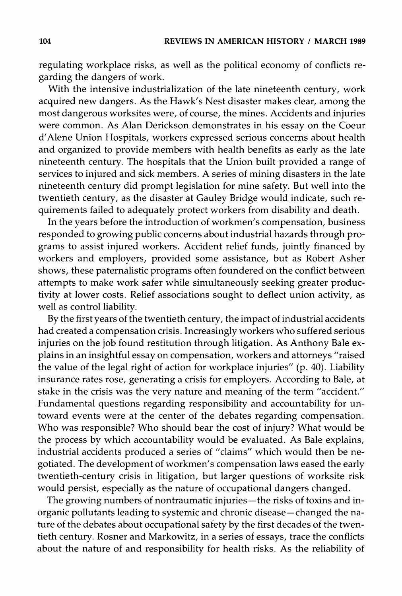**regulating workplace risks, as well as the political economy of conflicts regarding the dangers of work.** 

**With the intensive industrialization of the late nineteenth century, work acquired new dangers. As the Hawk's Nest disaster makes clear, among the most dangerous worksites were, of course, the mines. Accidents and injuries were common. As Alan Derickson demonstrates in his essay on the Coeur d'Alene Union Hospitals, workers expressed serious concerns about health and organized to provide members with health benefits as early as the late nineteenth century. The hospitals that the Union built provided a range of services to injured and sick members. A series of mining disasters in the late nineteenth century did prompt legislation for mine safety. But well into the twentieth century, as the disaster at Gauley Bridge would indicate, such requirements failed to adequately protect workers from disability and death.** 

**In the years before the introduction of workmen's compensation, business responded to growing public concerns about industrial hazards through programs to assist injured workers. Accident relief funds, jointly financed by workers and employers, provided some assistance, but as Robert Asher shows, these paternalistic programs often foundered on the conflict between attempts to make work safer while simultaneously seeking greater productivity at lower costs. Relief associations sought to deflect union activity, as well as control liability.** 

**By the first years of the twentieth century, the impact of industrial accidents had created a compensation crisis. Increasingly workers who suffered serious injuries on the job found restitution through litigation. As Anthony Bale explains in an insightful essay on compensation, workers and attorneys "raised the value of the legal right of action for workplace injuries" (p. 40). Liability insurance rates rose, generating a crisis for employers. According to Bale, at stake in the crisis was the very nature and meaning of the term "accident." Fundamental questions regarding responsibility and accountability for untoward events were at the center of the debates regarding compensation. Who was responsible? Who should bear the cost of injury? What would be the process by which accountability would be evaluated. As Bale explains, industrial accidents produced a series of "claims" which would then be negotiated. The development of workmen's compensation laws eased the early twentieth-century crisis in litigation, but larger questions of worksite risk would persist, especially as the nature of occupational dangers changed.** 

The growing numbers of nontraumatic injuries—the risks of toxins and in**organic pollutants leading to systemic and chronic disease -changed the nature of the debates about occupational safety by the first decades of the twentieth century. Rosner and Markowitz, in a series of essays, trace the conflicts about the nature of and responsibility for health risks. As the reliability of**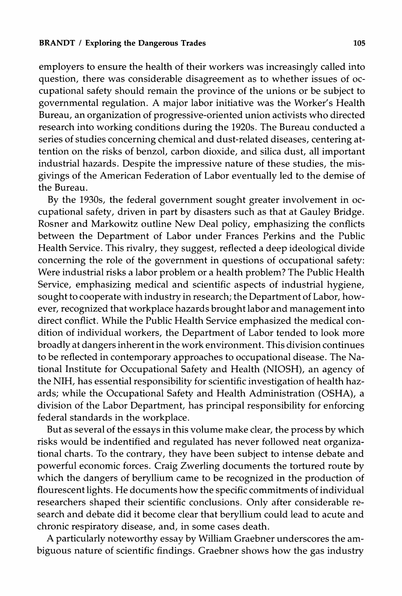#### **BRANDT** / Exploring the Dangerous Trades 105

**employers to ensure the health of their workers was increasingly called into question, there was considerable disagreement as to whether issues of occupational safety should remain the province of the unions or be subject to governmental regulation. A major labor initiative was the Worker's Health Bureau, an organization of progressive-oriented union activists who directed research into working conditions during the 1920s. The Bureau conducted a series of studies concerning chemical and dust-related diseases, centering attention on the risks of benzol, carbon dioxide, and silica dust, all important industrial hazards. Despite the impressive nature of these studies, the misgivings of the American Federation of Labor eventually led to the demise of the Bureau.** 

**By the 1930s, the federal government sought greater involvement in occupational safety, driven in part by disasters such as that at Gauley Bridge. Rosner and Markowitz outline New Deal policy, emphasizing the conflicts between the Department of Labor under Frances Perkins and the Public Health Service. This rivalry, they suggest, reflected a deep ideological divide concerning the role of the government in questions of occupational safety: Were industrial risks a labor problem or a health problem? The Public Health Service, emphasizing medical and scientific aspects of industrial hygiene, sought to cooperate with industry in research; the Department of Labor, however, recognized that workplace hazards brought labor and management into direct conflict. While the Public Health Service emphasized the medical condition of individual workers, the Department of Labor tended to look more broadly at dangers inherent in the work environment. This division continues to be reflected in contemporary approaches to occupational disease. The National Institute for Occupational Safety and Health (NIOSH), an agency of the NIH, has essential responsibility for scientific investigation of health hazards; while the Occupational Safety and Health Administration (OSHA), a division of the Labor Department, has principal responsibility for enforcing federal standards in the workplace.** 

**But as several of the essays in this volume make clear, the process by which risks would be indentified and regulated has never followed neat organizational charts. To the contrary, they have been subject to intense debate and powerful economic forces. Craig Zwerling documents the tortured route by**  which the dangers of beryllium came to be recognized in the production of **flourescent lights. He documents how the specific commitments of individual researchers shaped their scientific conclusions. Only after considerable research and debate did it become clear that beryllium could lead to acute and chronic respiratory disease, and, in some cases death.** 

**A particularly noteworthy essay by William Graebner underscores the ambiguous nature of scientific findings. Graebner shows how the gas industry**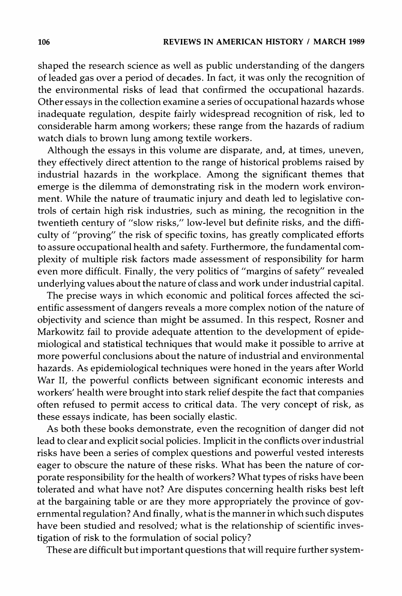**shaped the research science as well as public understanding of the dangers of leaded gas over a period of decades. In fact, it was only the recognition of the environmental risks of lead that confirmed the occupational hazards. Other essays in the collection examine a series of occupational hazards whose inadequate regulation, despite fairly widespread recognition of risk, led to considerable harm among workers; these range from the hazards of radium watch dials to brown lung among textile workers.** 

**Although the essays in this volume are disparate, and, at times, uneven, they effectively direct attention to the range of historical problems raised by industrial hazards in the workplace. Among the significant themes that emerge is the dilemma of demonstrating risk in the modern work environment. While the nature of traumatic injury and death led to legislative controls of certain high risk industries, such as mining, the recognition in the twentieth century of "slow risks," low-level but definite risks, and the difficulty of "proving" the risk of specific toxins, has greatly complicated efforts to assure occupational health and safety. Furthermore, the fundamental complexity of multiple risk factors made assessment of responsibility for harm even more difficult. Finally, the very politics of "margins of safety" revealed underlying values about the nature of class and work under industrial capital.** 

**The precise ways in which economic and political forces affected the scientific assessment of dangers reveals a more complex notion of the nature of objectivity and science than might be assumed. In this respect, Rosner and Markowitz fail to provide adequate attention to the development of epidemiological and statistical techniques that would make it possible to arrive at more powerful conclusions about the nature of industrial and environmental hazards. As epidemiological techniques were honed in the years after World War II, the powerful conflicts between significant economic interests and workers' health were brought into stark relief despite the fact that companies often refused to permit access to critical data. The very concept of risk, as these essays indicate, has been socially elastic.** 

**As both these books demonstrate, even the recognition of danger did not lead to clear and explicit social policies. Implicit in the conflicts over industrial risks have been a series of complex questions and powerful vested interests eager to obscure the nature of these risks. What has been the nature of corporate responsibility for the health of workers? What types of risks have been tolerated and what have not? Are disputes concerning health risks best left at the bargaining table or are they more appropriately the province of governmental regulation? And finally, what is the manner in which such disputes have been studied and resolved; what is the relationship of scientific investigation of risk to the formulation of social policy?** 

**These are difficult but important questions that will require further system-**